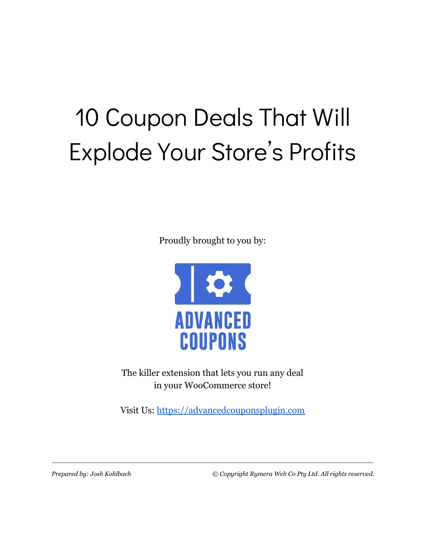# 10 Coupon Deals That Will Explode Your Store's Profits

Proudly brought to you by:



The killer extension that lets you run any deal in your WooCommerce store!

Visit Us: [https://advancedcouponsplugin.com](https://advancedcouponsplugin.com/?utm_source=AdvancedCoupons&utm_medium=PDF&utm_campaign=10CouponDealsFunnel&utm_content=10CouponDealsPDF)

*Prepared by: Josh Kohlbach © Copyright Rymera Web Co Pty Ltd. All rights reserved.*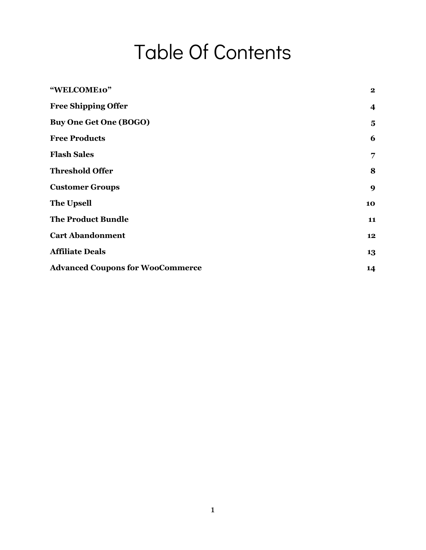## Table Of Contents

| "WELCOME10"                             | $\mathbf{2}$ |
|-----------------------------------------|--------------|
| <b>Free Shipping Offer</b>              | 4            |
| <b>Buy One Get One (BOGO)</b>           | 5            |
| <b>Free Products</b>                    | 6            |
| <b>Flash Sales</b>                      | 7            |
| <b>Threshold Offer</b>                  | 8            |
| <b>Customer Groups</b>                  | 9            |
| <b>The Upsell</b>                       | 10           |
| <b>The Product Bundle</b>               | 11           |
| <b>Cart Abandonment</b>                 | 12           |
| <b>Affiliate Deals</b>                  | 13           |
| <b>Advanced Coupons for WooCommerce</b> | 14           |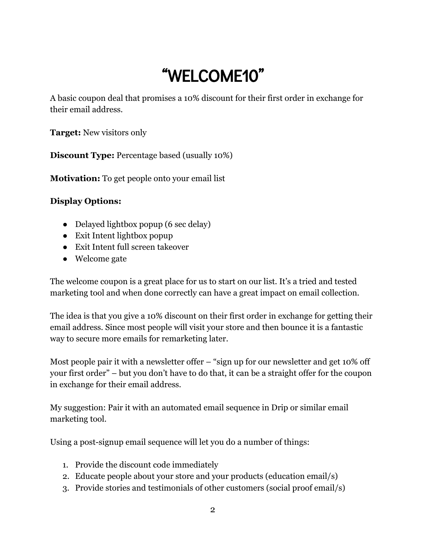### "WELCOME10"

<span id="page-2-0"></span>A basic coupon deal that promises a 10% discount for their first order in exchange for their email address.

**Target:** New visitors only

**Discount Type:** Percentage based (usually 10%)

**Motivation:** To get people onto your email list

#### **Display Options:**

- Delayed lightbox popup (6 sec delay)
- Exit Intent lightbox popup
- Exit Intent full screen takeover
- Welcome gate

The welcome coupon is a great place for us to start on our list. It's a tried and tested marketing tool and when done correctly can have a great impact on email collection.

The idea is that you give a 10% discount on their first order in exchange for getting their email address. Since most people will visit your store and then bounce it is a fantastic way to secure more emails for remarketing later.

Most people pair it with a newsletter offer – "sign up for our newsletter and get 10% off your first order" – but you don't have to do that, it can be a straight offer for the coupon in exchange for their email address.

My suggestion: Pair it with an automated email sequence in Drip or similar email marketing tool.

Using a post-signup email sequence will let you do a number of things:

- 1. Provide the discount code immediately
- 2. Educate people about your store and your products (education email/s)
- 3. Provide stories and testimonials of other customers (social proof email/s)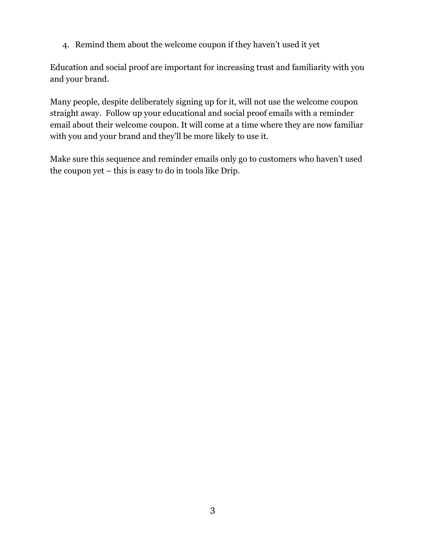4. Remind them about the welcome coupon if they haven't used it yet

Education and social proof are important for increasing trust and familiarity with you and your brand.

Many people, despite deliberately signing up for it, will not use the welcome coupon straight away. Follow up your educational and social proof emails with a reminder email about their welcome coupon. It will come at a time where they are now familiar with you and your brand and they'll be more likely to use it.

Make sure this sequence and reminder emails only go to customers who haven't used the coupon yet – this is easy to do in tools like Drip.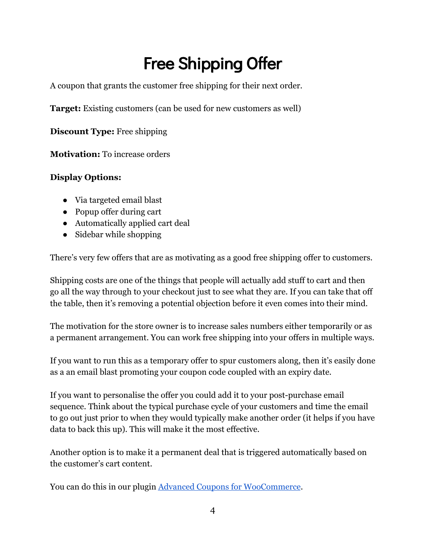### Free Shipping Offer

<span id="page-4-0"></span>A coupon that grants the customer free shipping for their next order.

**Target:** Existing customers (can be used for new customers as well)

**Discount Type:** Free shipping

**Motivation:** To increase orders

#### **Display Options:**

- Via targeted email blast
- Popup offer during cart
- Automatically applied cart deal
- Sidebar while shopping

There's very few offers that are as motivating as a good free shipping offer to customers.

Shipping costs are one of the things that people will actually add stuff to cart and then go all the way through to your checkout just to see what they are. If you can take that off the table, then it's removing a potential objection before it even comes into their mind.

The motivation for the store owner is to increase sales numbers either temporarily or as a permanent arrangement. You can work free shipping into your offers in multiple ways.

If you want to run this as a temporary offer to spur customers along, then it's easily done as a an email blast promoting your coupon code coupled with an expiry date.

If you want to personalise the offer you could add it to your post-purchase email sequence. Think about the typical purchase cycle of your customers and time the email to go out just prior to when they would typically make another order (it helps if you have data to back this up). This will make it the most effective.

Another option is to make it a permanent deal that is triggered automatically based on the customer's cart content.

You can do this in our plugin [Advanced Coupons for WooCommerce](https://advancedcouponsplugin.com/?utm_source=AdvancedCoupons&utm_medium=PDF&utm_campaign=10CouponDealsFunnel&utm_content=10CouponDealsPDF).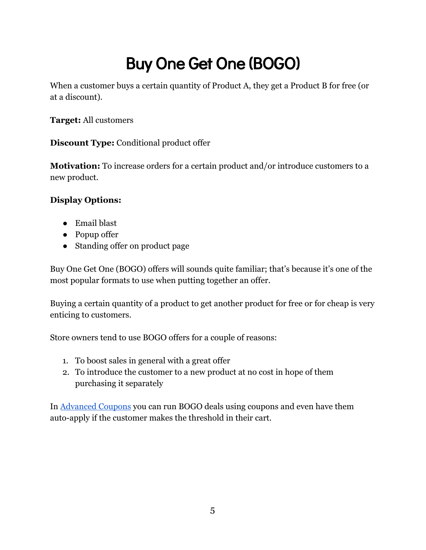### Buy One Get One (BOGO)

<span id="page-5-0"></span>When a customer buys a certain quantity of Product A, they get a Product B for free (or at a discount).

**Target:** All customers

**Discount Type:** Conditional product offer

**Motivation:** To increase orders for a certain product and/or introduce customers to a new product.

#### **Display Options:**

- Email blast
- Popup offer
- Standing offer on product page

Buy One Get One (BOGO) offers will sounds quite familiar; that's because it's one of the most popular formats to use when putting together an offer.

Buying a certain quantity of a product to get another product for free or for cheap is very enticing to customers.

Store owners tend to use BOGO offers for a couple of reasons:

- 1. To boost sales in general with a great offer
- 2. To introduce the customer to a new product at no cost in hope of them purchasing it separately

In [Advanced Coupons](https://advancedcouponsplugin.com/?utm_source=AdvancedCoupons&utm_medium=PDF&utm_campaign=10CouponDealsFunnel&utm_content=10CouponDealsPDF) you can run BOGO deals using coupons and even have them auto-apply if the customer makes the threshold in their cart.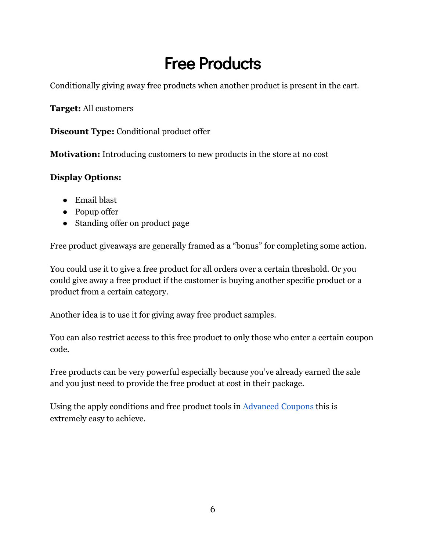### Free Products

<span id="page-6-0"></span>Conditionally giving away free products when another product is present in the cart.

**Target:** All customers

**Discount Type:** Conditional product offer

**Motivation:** Introducing customers to new products in the store at no cost

#### **Display Options:**

- Email blast
- Popup offer
- Standing offer on product page

Free product giveaways are generally framed as a "bonus" for completing some action.

You could use it to give a free product for all orders over a certain threshold. Or you could give away a free product if the customer is buying another specific product or a product from a certain category.

Another idea is to use it for giving away free product samples.

You can also restrict access to this free product to only those who enter a certain coupon code.

Free products can be very powerful especially because you've already earned the sale and you just need to provide the free product at cost in their package.

Using the apply conditions and free product tools in [Advanced Coupons](https://advancedcouponsplugin.com/?utm_source=AdvancedCoupons&utm_medium=PDF&utm_campaign=10CouponDealsFunnel&utm_content=10CouponDealsPDF) this is extremely easy to achieve.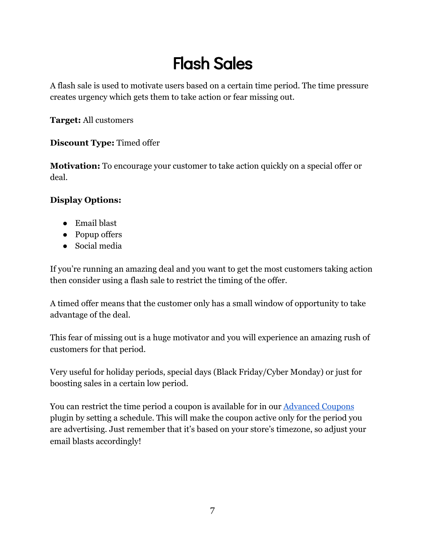### Flash Sales

<span id="page-7-0"></span>A flash sale is used to motivate users based on a certain time period. The time pressure creates urgency which gets them to take action or fear missing out.

**Target:** All customers

#### **Discount Type:** Timed offer

**Motivation:** To encourage your customer to take action quickly on a special offer or deal.

#### **Display Options:**

- Email blast
- Popup offers
- Social media

If you're running an amazing deal and you want to get the most customers taking action then consider using a flash sale to restrict the timing of the offer.

A timed offer means that the customer only has a small window of opportunity to take advantage of the deal.

This fear of missing out is a huge motivator and you will experience an amazing rush of customers for that period.

Very useful for holiday periods, special days (Black Friday/Cyber Monday) or just for boosting sales in a certain low period.

You can restrict the time period a coupon is available for in our **Advanced Coupons** plugin by setting a schedule. This will make the coupon active only for the period you are advertising. Just remember that it's based on your store's timezone, so adjust your email blasts accordingly!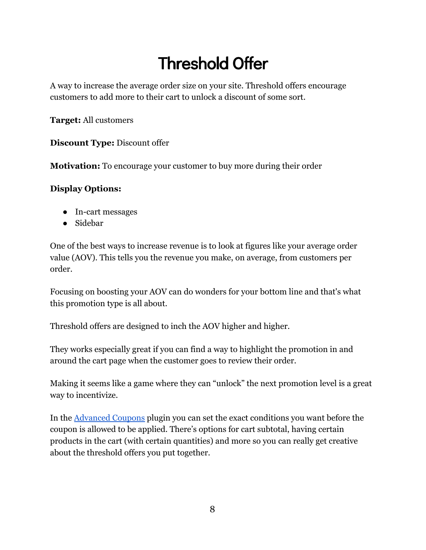### Threshold Offer

<span id="page-8-0"></span>A way to increase the average order size on your site. Threshold offers encourage customers to add more to their cart to unlock a discount of some sort.

**Target:** All customers

**Discount Type:** Discount offer

**Motivation:** To encourage your customer to buy more during their order

#### **Display Options:**

- In-cart messages
- Sidebar

One of the best ways to increase revenue is to look at figures like your average order value (AOV). This tells you the revenue you make, on average, from customers per order.

Focusing on boosting your AOV can do wonders for your bottom line and that's what this promotion type is all about.

Threshold offers are designed to inch the AOV higher and higher.

They works especially great if you can find a way to highlight the promotion in and around the cart page when the customer goes to review their order.

Making it seems like a game where they can "unlock" the next promotion level is a great way to incentivize.

In the [Advanced Coupons](https://advancedcouponsplugin.com/?utm_source=AdvancedCoupons&utm_medium=PDF&utm_campaign=10CouponDealsFunnel&utm_content=10CouponDealsPDF) plugin you can set the exact conditions you want before the coupon is allowed to be applied. There's options for cart subtotal, having certain products in the cart (with certain quantities) and more so you can really get creative about the threshold offers you put together.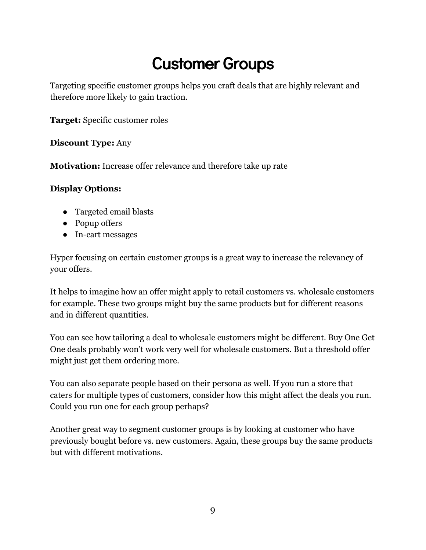### Customer Groups

<span id="page-9-0"></span>Targeting specific customer groups helps you craft deals that are highly relevant and therefore more likely to gain traction.

**Target:** Specific customer roles

#### **Discount Type:** Any

**Motivation:** Increase offer relevance and therefore take up rate

#### **Display Options:**

- Targeted email blasts
- Popup offers
- In-cart messages

Hyper focusing on certain customer groups is a great way to increase the relevancy of your offers.

It helps to imagine how an offer might apply to retail customers vs. wholesale customers for example. These two groups might buy the same products but for different reasons and in different quantities.

You can see how tailoring a deal to wholesale customers might be different. Buy One Get One deals probably won't work very well for wholesale customers. But a threshold offer might just get them ordering more.

You can also separate people based on their persona as well. If you run a store that caters for multiple types of customers, consider how this might affect the deals you run. Could you run one for each group perhaps?

Another great way to segment customer groups is by looking at customer who have previously bought before vs. new customers. Again, these groups buy the same products but with different motivations.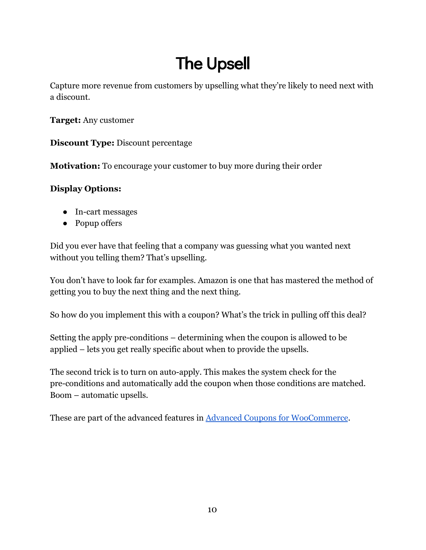### The Upsell

<span id="page-10-0"></span>Capture more revenue from customers by upselling what they're likely to need next with a discount.

**Target:** Any customer

**Discount Type:** Discount percentage

**Motivation:** To encourage your customer to buy more during their order

#### **Display Options:**

- In-cart messages
- Popup offers

Did you ever have that feeling that a company was guessing what you wanted next without you telling them? That's upselling.

You don't have to look far for examples. Amazon is one that has mastered the method of getting you to buy the next thing and the next thing.

So how do you implement this with a coupon? What's the trick in pulling off this deal?

Setting the apply pre-conditions – determining when the coupon is allowed to be applied – lets you get really specific about when to provide the upsells.

The second trick is to turn on auto-apply. This makes the system check for the pre-conditions and automatically add the coupon when those conditions are matched. Boom – automatic upsells.

These are part of the advanced features in [Advanced Coupons for WooCommerce](https://advancedcouponsplugin.com/?utm_source=AdvancedCoupons&utm_medium=PDF&utm_campaign=10CouponDealsFunnel&utm_content=10CouponDealsPDF).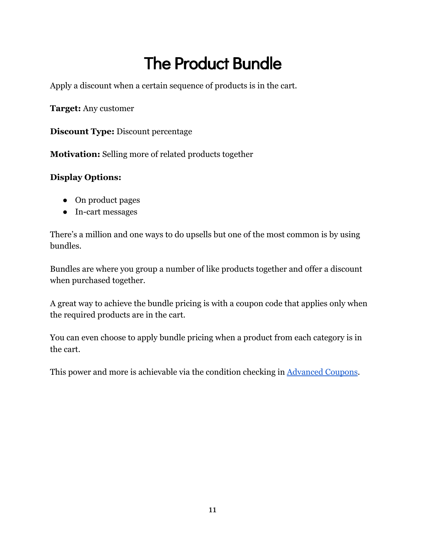### The Product Bundle

<span id="page-11-0"></span>Apply a discount when a certain sequence of products is in the cart.

**Target:** Any customer

**Discount Type:** Discount percentage

**Motivation:** Selling more of related products together

#### **Display Options:**

- On product pages
- In-cart messages

There's a million and one ways to do upsells but one of the most common is by using bundles.

Bundles are where you group a number of like products together and offer a discount when purchased together.

A great way to achieve the bundle pricing is with a coupon code that applies only when the required products are in the cart.

You can even choose to apply bundle pricing when a product from each category is in the cart.

This power and more is achievable via the condition checking in [Advanced Coupons](https://advancedcouponsplugin.com/?utm_source=AdvancedCoupons&utm_medium=PDF&utm_campaign=10CouponDealsFunnel&utm_content=10CouponDealsPDF).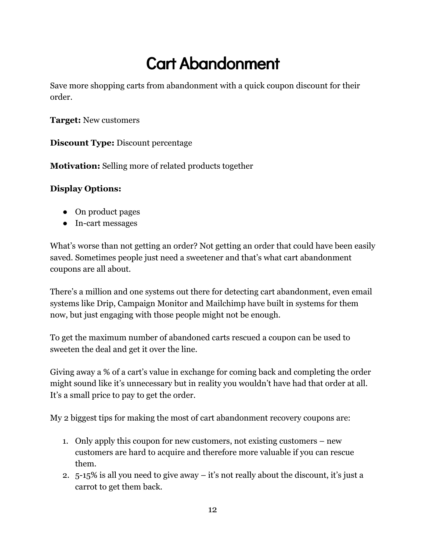### Cart Abandonment

<span id="page-12-0"></span>Save more shopping carts from abandonment with a quick coupon discount for their order.

**Target:** New customers

**Discount Type:** Discount percentage

**Motivation:** Selling more of related products together

#### **Display Options:**

- On product pages
- In-cart messages

What's worse than not getting an order? Not getting an order that could have been easily saved. Sometimes people just need a sweetener and that's what cart abandonment coupons are all about.

There's a million and one systems out there for detecting cart abandonment, even email systems like Drip, Campaign Monitor and Mailchimp have built in systems for them now, but just engaging with those people might not be enough.

To get the maximum number of abandoned carts rescued a coupon can be used to sweeten the deal and get it over the line.

Giving away a % of a cart's value in exchange for coming back and completing the order might sound like it's unnecessary but in reality you wouldn't have had that order at all. It's a small price to pay to get the order.

My 2 biggest tips for making the most of cart abandonment recovery coupons are:

- 1. Only apply this coupon for new customers, not existing customers new customers are hard to acquire and therefore more valuable if you can rescue them.
- 2. 5-15% is all you need to give away it's not really about the discount, it's just a carrot to get them back.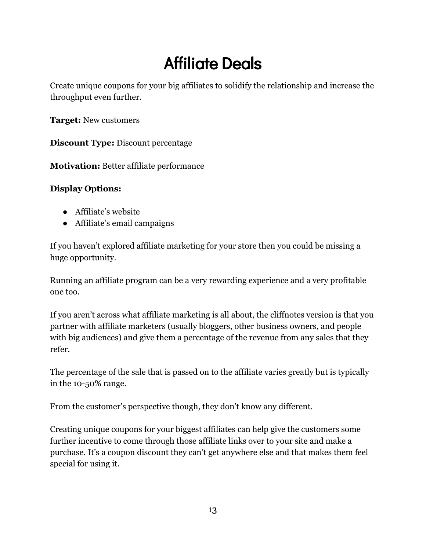### Affiliate Deals

<span id="page-13-0"></span>Create unique coupons for your big affiliates to solidify the relationship and increase the throughput even further.

**Target:** New customers

**Discount Type:** Discount percentage

**Motivation:** Better affiliate performance

#### **Display Options:**

- Affiliate's website
- Affiliate's email campaigns

If you haven't explored affiliate marketing for your store then you could be missing a huge opportunity.

Running an affiliate program can be a very rewarding experience and a very profitable one too.

If you aren't across what affiliate marketing is all about, the cliffnotes version is that you partner with affiliate marketers (usually bloggers, other business owners, and people with big audiences) and give them a percentage of the revenue from any sales that they refer.

The percentage of the sale that is passed on to the affiliate varies greatly but is typically in the 10-50% range.

From the customer's perspective though, they don't know any different.

Creating unique coupons for your biggest affiliates can help give the customers some further incentive to come through those affiliate links over to your site and make a purchase. It's a coupon discount they can't get anywhere else and that makes them feel special for using it.